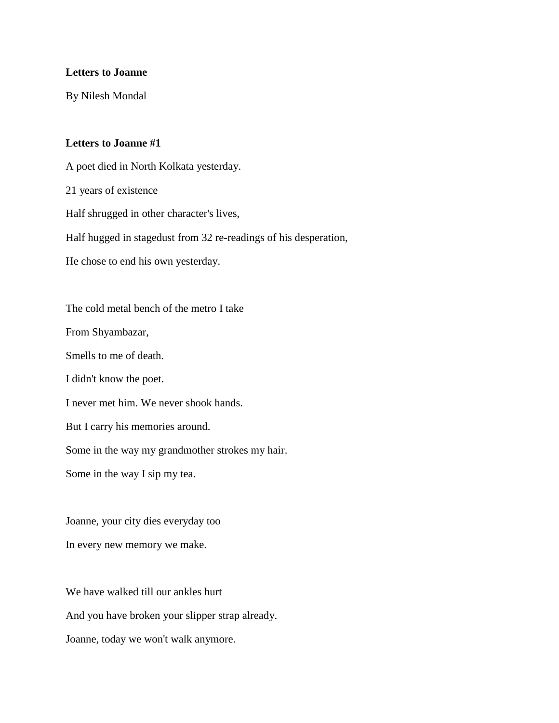## **Letters to Joanne**

By Nilesh Mondal

## **Letters to Joanne #1**

A poet died in North Kolkata yesterday. 21 years of existence Half shrugged in other character's lives, Half hugged in stagedust from 32 re-readings of his desperation, He chose to end his own yesterday. The cold metal bench of the metro I take From Shyambazar, Smells to me of death. I didn't know the poet. I never met him. We never shook hands. But I carry his memories around. Some in the way my grandmother strokes my hair. Some in the way I sip my tea.

Joanne, your city dies everyday too In every new memory we make.

We have walked till our ankles hurt And you have broken your slipper strap already. Joanne, today we won't walk anymore.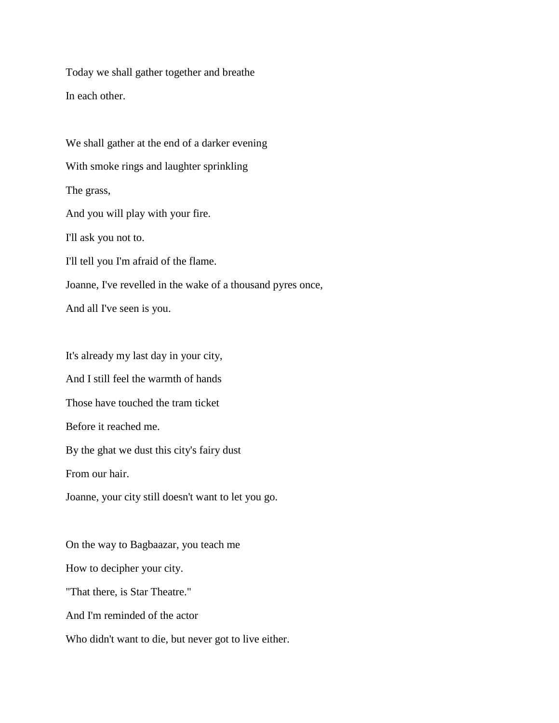Today we shall gather together and breathe In each other.

We shall gather at the end of a darker evening With smoke rings and laughter sprinkling The grass, And you will play with your fire. I'll ask you not to. I'll tell you I'm afraid of the flame. Joanne, I've revelled in the wake of a thousand pyres once, And all I've seen is you.

It's already my last day in your city, And I still feel the warmth of hands Those have touched the tram ticket Before it reached me. By the ghat we dust this city's fairy dust From our hair. Joanne, your city still doesn't want to let you go. On the way to Bagbaazar, you teach me How to decipher your city. "That there, is Star Theatre." And I'm reminded of the actor

Who didn't want to die, but never got to live either.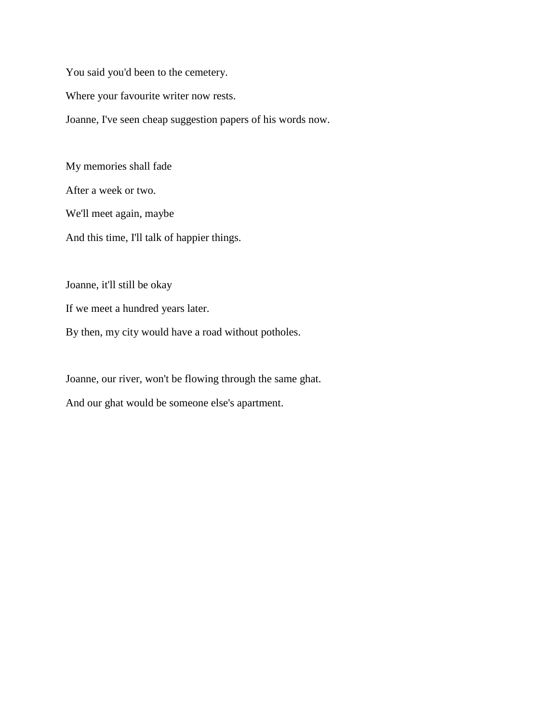You said you'd been to the cemetery. Where your favourite writer now rests. Joanne, I've seen cheap suggestion papers of his words now.

My memories shall fade After a week or two. We'll meet again, maybe And this time, I'll talk of happier things.

Joanne, it'll still be okay

If we meet a hundred years later.

By then, my city would have a road without potholes.

Joanne, our river, won't be flowing through the same ghat.

And our ghat would be someone else's apartment.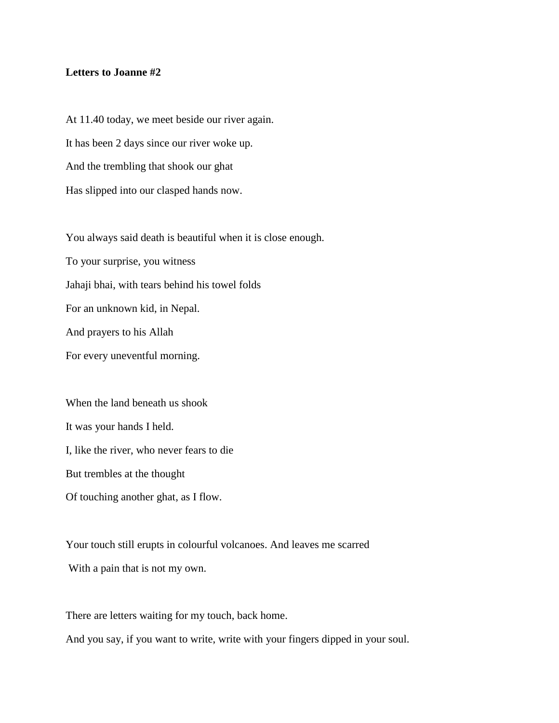## **Letters to Joanne #2**

At 11.40 today, we meet beside our river again. It has been 2 days since our river woke up. And the trembling that shook our ghat Has slipped into our clasped hands now.

You always said death is beautiful when it is close enough.

To your surprise, you witness

Jahaji bhai, with tears behind his towel folds

For an unknown kid, in Nepal.

And prayers to his Allah

For every uneventful morning.

When the land beneath us shook It was your hands I held. I, like the river, who never fears to die But trembles at the thought Of touching another ghat, as I flow.

Your touch still erupts in colourful volcanoes. And leaves me scarred With a pain that is not my own.

There are letters waiting for my touch, back home. And you say, if you want to write, write with your fingers dipped in your soul.